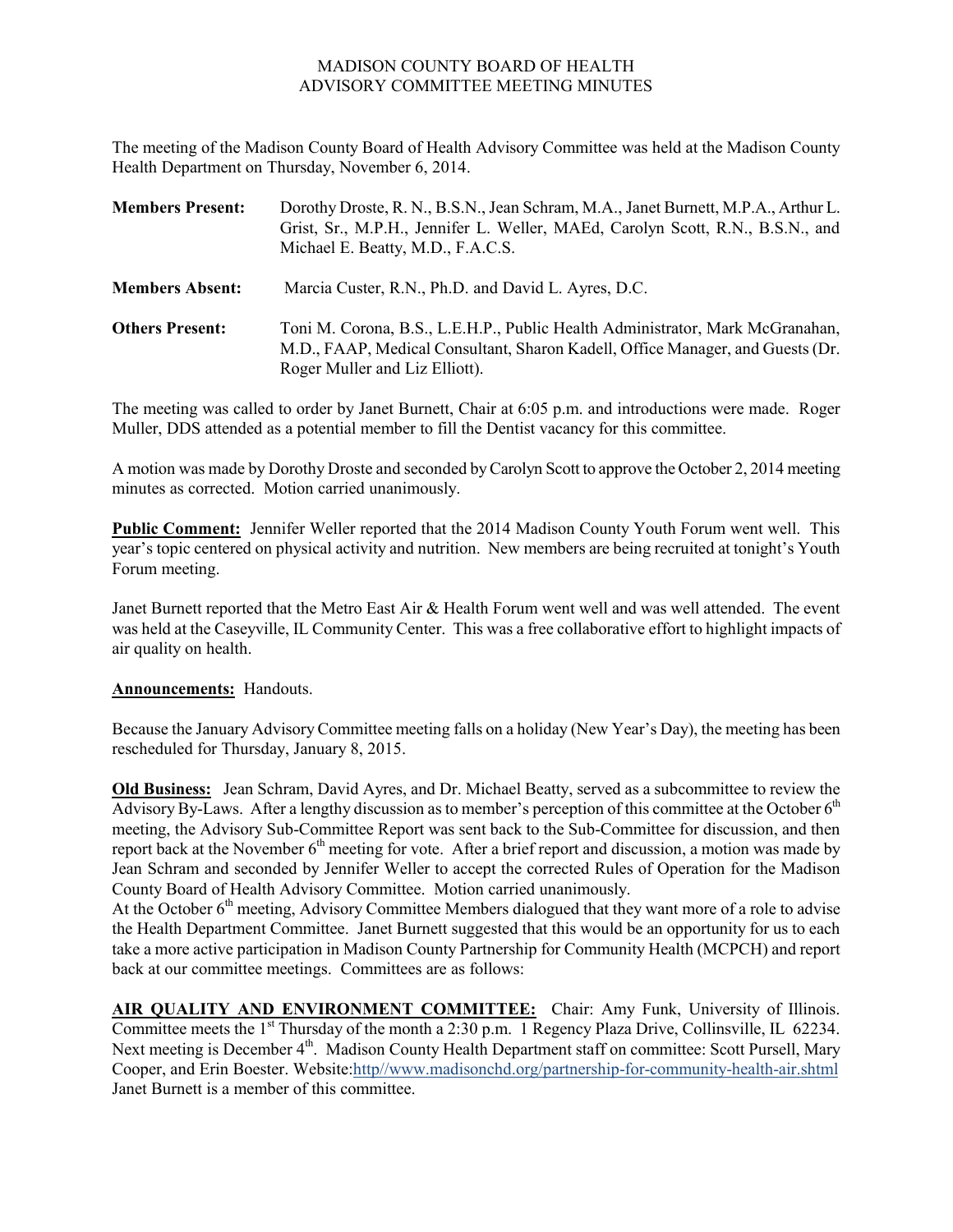## MADISON COUNTY BOARD OF HEALTH ADVISORY COMMITTEE MEETING MINUTES

The meeting of the Madison County Board of Health Advisory Committee was held at the Madison County Health Department on Thursday, November 6, 2014.

| <b>Members Present:</b> | Dorothy Droste, R. N., B.S.N., Jean Schram, M.A., Janet Burnett, M.P.A., Arthur L.<br>Grist, Sr., M.P.H., Jennifer L. Weller, MAEd, Carolyn Scott, R.N., B.S.N., and<br>Michael E. Beatty, M.D., F.A.C.S. |
|-------------------------|-----------------------------------------------------------------------------------------------------------------------------------------------------------------------------------------------------------|
| <b>Members Absent:</b>  | Marcia Custer, R.N., Ph.D. and David L. Ayres, D.C.                                                                                                                                                       |
| <b>Others Present:</b>  | Toni M. Corona, B.S., L.E.H.P., Public Health Administrator, Mark McGranahan,<br>M.D., FAAP, Medical Consultant, Sharon Kadell, Office Manager, and Guests (Dr.<br>Roger Muller and Liz Elliott).         |

The meeting was called to order by Janet Burnett, Chair at 6:05 p.m. and introductions were made. Roger Muller, DDS attended as a potential member to fill the Dentist vacancy for this committee.

A motion was made by Dorothy Droste and seconded byCarolyn Scott to approve the October 2, 2014 meeting minutes as corrected. Motion carried unanimously.

**Public Comment:** Jennifer Weller reported that the 2014 Madison County Youth Forum went well. This year's topic centered on physical activity and nutrition. New members are being recruited at tonight's Youth Forum meeting.

Janet Burnett reported that the Metro East Air & Health Forum went well and was well attended. The event was held at the Caseyville, IL Community Center. This was a free collaborative effort to highlight impacts of air quality on health.

## **Announcements:** Handouts.

Because the January Advisory Committee meeting falls on a holiday (New Year's Day), the meeting has been rescheduled for Thursday, January 8, 2015.

**Old Business:** Jean Schram, David Ayres, and Dr. Michael Beatty, served as a subcommittee to review the Advisory By-Laws. After a lengthy discussion as to member's perception of this committee at the October  $6<sup>th</sup>$ meeting, the Advisory Sub-Committee Report was sent back to the Sub-Committee for discussion, and then report back at the November  $6<sup>th</sup>$  meeting for vote. After a brief report and discussion, a motion was made by Jean Schram and seconded by Jennifer Weller to accept the corrected Rules of Operation for the Madison County Board of Health Advisory Committee. Motion carried unanimously.

At the October 6<sup>th</sup> meeting, Advisory Committee Members dialogued that they want more of a role to advise the Health Department Committee. Janet Burnett suggested that this would be an opportunity for us to each take a more active participation in Madison County Partnership for Community Health (MCPCH) and report back at our committee meetings. Committees are as follows:

**AIR QUALITY AND ENVIRONMENT COMMITTEE:** Chair: Amy Funk, University of Illinois. Committee meets the 1<sup>st</sup> Thursday of the month a 2:30 p.m. 1 Regency Plaza Drive, Collinsville, IL 62234. Next meeting is December 4<sup>th</sup>. Madison County Health Department staff on committee: Scott Pursell, Mary Cooper, and Erin Boester. Website:http//www.madisonchd.org/partnership-for-community-health-air.shtml Janet Burnett is a member of this committee.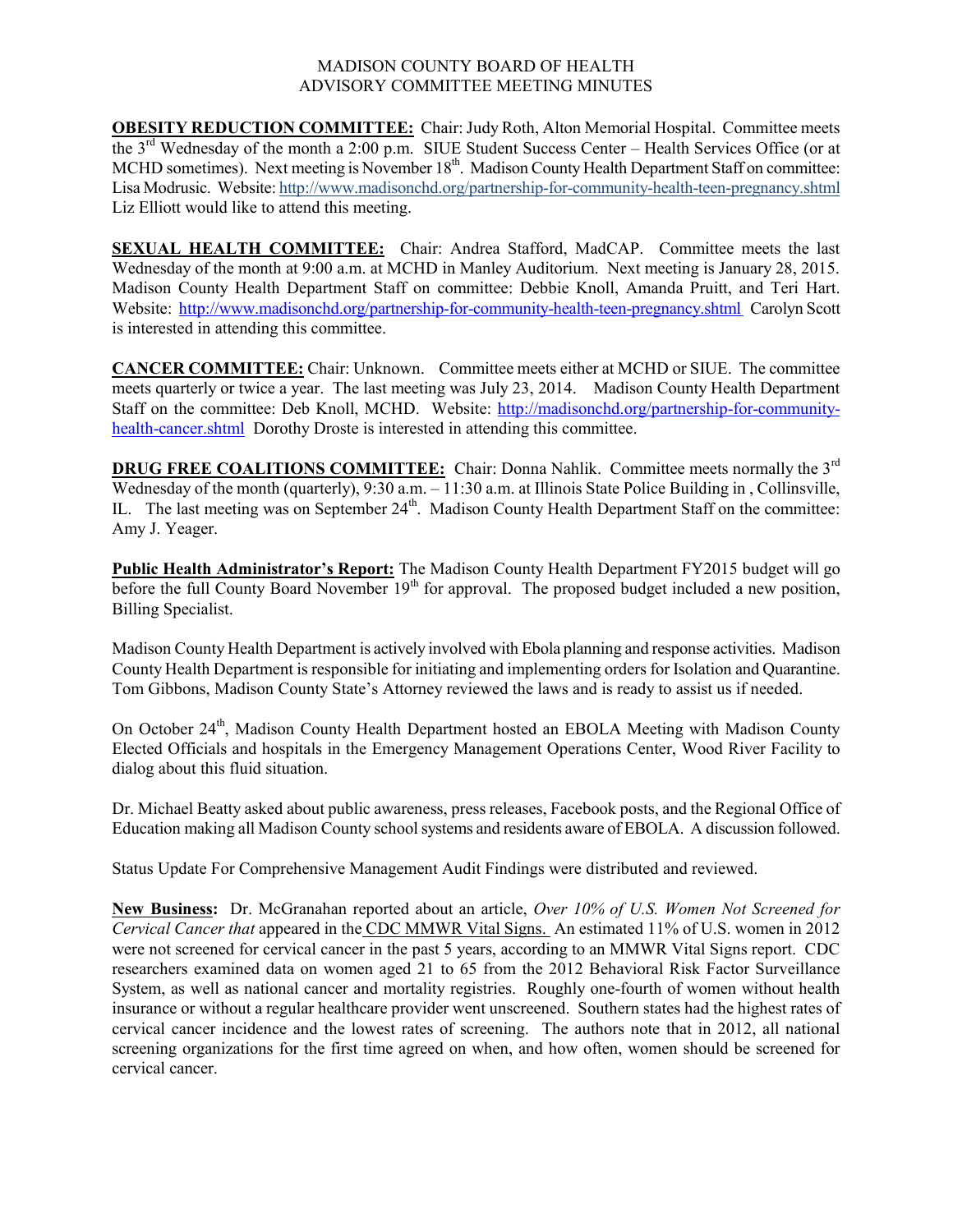## MADISON COUNTY BOARD OF HEALTH ADVISORY COMMITTEE MEETING MINUTES

**OBESITY REDUCTION COMMITTEE:** Chair: Judy Roth, Alton Memorial Hospital. Committee meets the 3rd Wednesday of the month a 2:00 p.m. SIUE Student Success Center – Health Services Office (or at MCHD sometimes). Next meeting is November 18<sup>th</sup>. Madison County Health Department Staff on committee: Lisa Modrusic. Website: http://www.madisonchd.org/partnership-for-community-health-teen-pregnancy.shtml Liz Elliott would like to attend this meeting.

**SEXUAL HEALTH COMMITTEE:** Chair: Andrea Stafford, MadCAP. Committee meets the last Wednesday of the month at 9:00 a.m. at MCHD in Manley Auditorium. Next meeting is January 28, 2015. Madison County Health Department Staff on committee: Debbie Knoll, Amanda Pruitt, and Teri Hart. Website: http://www.madisonchd.org/partnership-for-community-health-teen-pregnancy.shtml Carolyn Scott is interested in attending this committee.

**CANCER COMMITTEE:** Chair: Unknown. Committee meets either at MCHD or SIUE. The committee meets quarterly or twice a year. The last meeting was July 23, 2014. Madison County Health Department Staff on the committee: Deb Knoll, MCHD. Website: http://madisonchd.org/partnership-for-community health-cancer.shtml Dorothy Droste is interested in attending this committee.

**DRUG FREE COALITIONS COMMITTEE:** Chair: Donna Nahlik. Committee meets normally the 3<sup>rd</sup> Wednesday of the month (quarterly), 9:30 a.m. – 11:30 a.m. at Illinois State Police Building in, Collinsville, IL. The last meeting was on September 24<sup>th</sup>. Madison County Health Department Staff on the committee: Amy J. Yeager.

**Public Health Administrator's Report:** The Madison County Health Department FY2015 budget will go before the full County Board November  $19<sup>th</sup>$  for approval. The proposed budget included a new position, Billing Specialist.

Madison County Health Department is actively involved with Ebola planning and response activities. Madison County Health Department is responsible for initiating and implementing orders for Isolation and Quarantine. Tom Gibbons, Madison County State's Attorney reviewed the laws and is ready to assist us if needed.

On October 24<sup>th</sup>, Madison County Health Department hosted an EBOLA Meeting with Madison County Elected Officials and hospitals in the Emergency Management Operations Center, Wood River Facility to dialog about this fluid situation.

Dr. Michael Beatty asked about public awareness, press releases, Facebook posts, and the Regional Office of Education making all Madison County school systems and residents aware of EBOLA. A discussion followed.

Status Update For Comprehensive Management Audit Findings were distributed and reviewed.

**New Business:** Dr. McGranahan reported about an article, *Over 10% of U.S. Women Not Screened for Cervical Cancer that* appeared in the CDC MMWR Vital Signs. An estimated 11% of U.S. women in 2012 were not screened for cervical cancer in the past 5 years, according to an MMWR Vital Signs report. CDC researchers examined data on women aged 21 to 65 from the 2012 Behavioral Risk Factor Surveillance System, as well as national cancer and mortality registries. Roughly one-fourth of women without health insurance or without a regular healthcare provider went unscreened. Southern states had the highest rates of cervical cancer incidence and the lowest rates of screening. The authors note that in 2012, all national screening organizations for the first time agreed on when, and how often, women should be screened for cervical cancer.